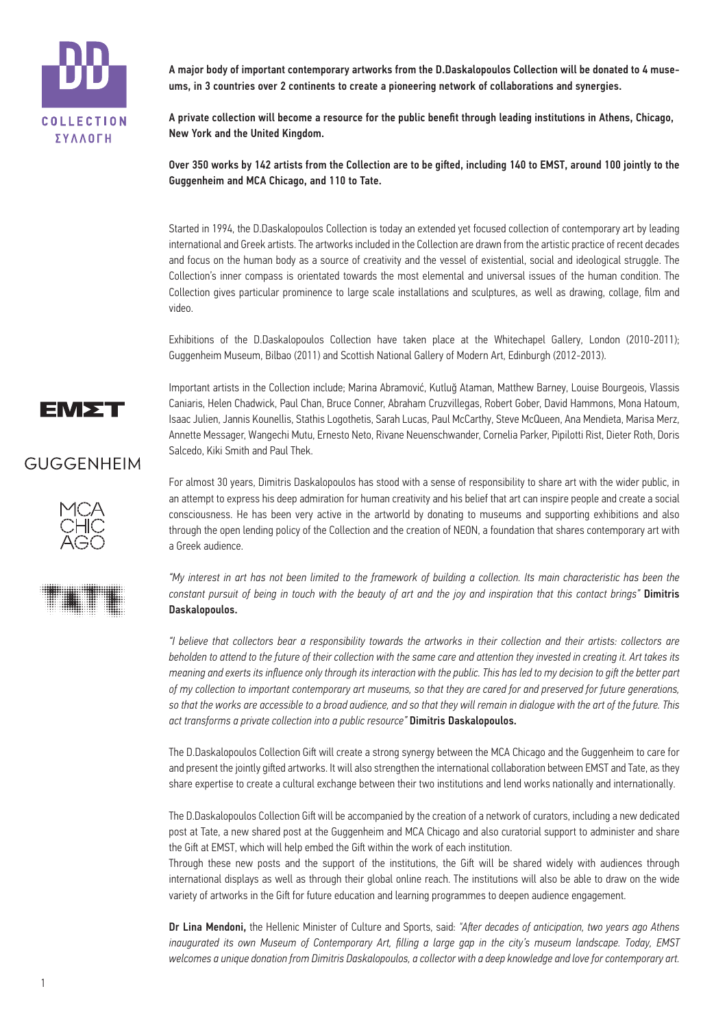

A major body of important contemporary artworks from the D.Daskalopoulos Collection will be donated to 4 museums, in 3 countries over 2 continents to create a pioneering network of collaborations and synergies.

A private collection will become a resource for the public benefit through leading institutions in Athens, Chicago, New York and the United Kingdom.

Over 350 works by 142 artists from the Collection are to be gifted, including 140 to EMST, around 100 jointly to the Guggenheim and MCA Chicago, and 110 to Tate.

Started in 1994, the D.Daskalopoulos Collection is today an extended yet focused collection of contemporary art by leading international and Greek artists. The artworks included in the Collection are drawn from the artistic practice of recent decades and focus on the human body as a source of creativity and the vessel of existential, social and ideological struggle. The Collection's inner compass is orientated towards the most elemental and universal issues of the human condition. The Collection gives particular prominence to large scale installations and sculptures, as well as drawing, collage, film and video.

Exhibitions of the D.Daskalopoulos Collection have taken place at the Whitechapel Gallery, London (2010-2011); Guggenheim Museum, Bilbao (2011) and Scottish National Gallery of Modern Art, Edinburgh (2012-2013).

EM∑T

Important artists in the Collection include; Marina Abramović, Kutluğ Ataman, Matthew Barney, Louise Bourgeois, Vlassis Caniaris, Helen Chadwick, Paul Chan, Bruce Conner, Abraham Cruzvillegas, Robert Gober, David Hammons, Mona Hatoum, Isaac Julien, Jannis Kounellis, Stathis Logothetis, Sarah Lucas, Paul McCarthy, Steve McQueen, Ana Mendieta, Marisa Merz, Annette Messager, Wangechi Mutu, Ernesto Neto, Rivane Neuenschwander, Cornelia Parker, Pipilotti Rist, Dieter Roth, Doris Salcedo, Kiki Smith and Paul Thek.

## GUGGENHEIM





For almost 30 years, Dimitris Daskalopoulos has stood with a sense of responsibility to share art with the wider public, in an attempt to express his deep admiration for human creativity and his belief that art can inspire people and create a social consciousness. He has been very active in the artworld by donating to museums and supporting exhibitions and also through the open lending policy of the Collection and the creation of NEON, a foundation that shares contemporary art with a Greek audience.

*"My interest in art has not been limited to the framework of building a collection. Its main characteristic has been the constant pursuit of being in touch with the beauty of art and the joy and inspiration that this contact brings"* Dimitris Daskalopoulos.

*"I believe that collectors bear a responsibility towards the artworks in their collection and their artists: collectors are beholden to attend to the future of their collection with the same care and attention they invested in creating it. Art takes its meaning and exerts its influence only through its interaction with the public. This has led to my decision to gift the better part of my collection to important contemporary art museums, so that they are cared for and preserved for future generations, so that the works are accessible to a broad audience, and so that they will remain in dialogue with the art of the future. This act transforms a private collection into a public resource"* Dimitris Daskalopoulos.

The D.Daskalopoulos Collection Gift will create a strong synergy between the MCA Chicago and the Guggenheim to care for and present the jointly gifted artworks. It will also strengthen the international collaboration between EMST and Tate, as they share expertise to create a cultural exchange between their two institutions and lend works nationally and internationally.

The D.Daskalopoulos Collection Gift will be accompanied by the creation of a network of curators, including a new dedicated post at Tate, a new shared post at the Guggenheim and MCA Chicago and also curatorial support to administer and share the Gift at EMST, which will help embed the Gift within the work of each institution.

Through these new posts and the support of the institutions, the Gift will be shared widely with audiences through international displays as well as through their global online reach. The institutions will also be able to draw on the wide variety of artworks in the Gift for future education and learning programmes to deepen audience engagement.

Dr Lina Mendoni, the Hellenic Minister of Culture and Sports, said: *"Aſter decades of anticipation, two years ago Athens inaugurated its own Museum of Contemporary Art, filling a large gap in the city's museum landscape. Today, EMST welcomes a unique donation from Dimitris Daskalopoulos, a collector with a deep knowledge and love for contemporary art.*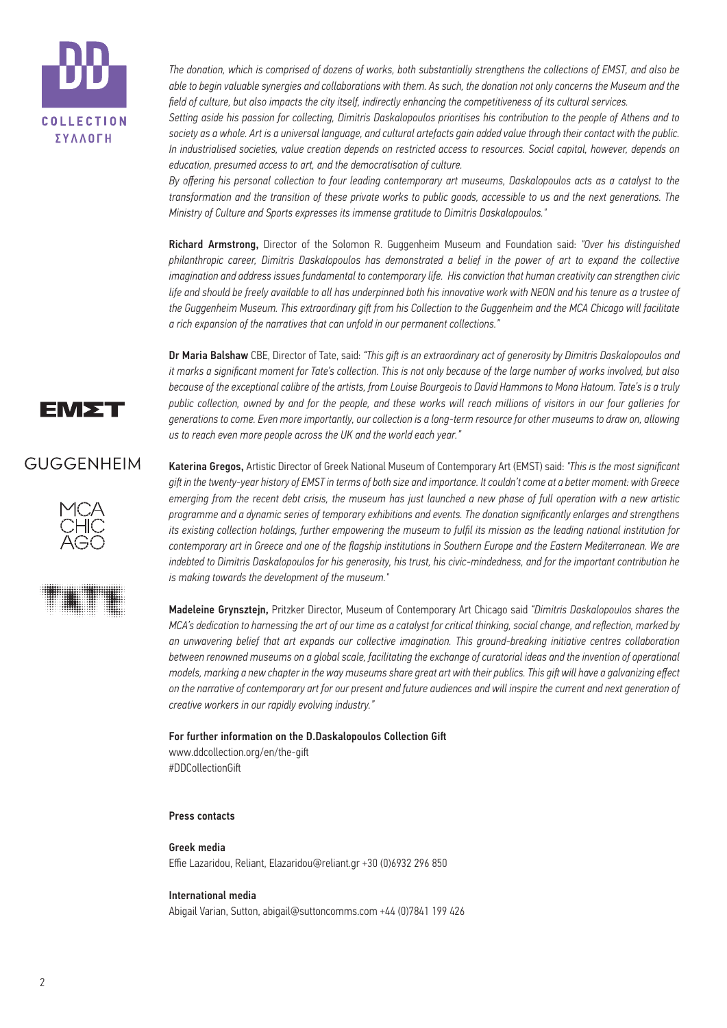

*The donation, which is comprised of dozens of works, both substantially strengthens the collections of EMST, and also be able to begin valuable synergies and collaborations with them. As such, the donation not only concerns the Museum and the field of culture, but also impacts the city itself, indirectly enhancing the competitiveness of its cultural services.*

*Setting aside his passion for collecting, Dimitris Daskalopoulos prioritises his contribution to the people of Athens and to society as a whole. Art is a universal language, and cultural artefacts gain added value through their contact with the public. In industrialised societies, value creation depends on restricted access to resources. Social capital, however, depends on education, presumed access to art, and the democratisation of culture.*

*By offering his personal collection to four leading contemporary art museums, Daskalopoulos acts as a catalyst to the transformation and the transition of these private works to public goods, accessible to us and the next generations. The Ministry of Culture and Sports expresses its immense gratitude to Dimitris Daskalopoulos."*

Richard Armstrong, Director of the Solomon R. Guggenheim Museum and Foundation said: *"Over his distinguished philanthropic career, Dimitris Daskalopoulos has demonstrated a belief in the power of art to expand the collective imagination and address issues fundamental to contemporary life. His conviction that human creativity can strengthen civic life and should be freely available to all has underpinned both his innovative work with NEON and his tenure as a trustee of the Guggenheim Museum. This extraordinary gift from his Collection to the Guggenheim and the MCA Chicago will facilitate a rich expansion of the narratives that can unfold in our permanent collections."*

Dr Maria Balshaw CBE, Director of Tate, said: "This gift is an extraordinary act of generosity by Dimitris Daskalopoulos and *it marks a significant moment for Tate's collection. This is not only because of the large number of works involved, but also because of the exceptional calibre of the artists, from Louise Bourgeois to David Hammons to Mona Hatoum. Tate's is a truly public collection, owned by and for the people, and these works will reach millions of visitors in our four galleries for generations to come. Even more importantly, our collection is a long-term resource for other museums to draw on, allowing us to reach even more people across the UK and the world each year."*

# EM∑T

# GUGGENHEIM





Katerina Gregos, Artistic Director of Greek National Museum of Contemporary Art (EMST) said: *"This is the most significant giſt in the twenty-year history of EMST in terms of both size and importance. It couldn't come at a better moment: with Greece emerging from the recent debt crisis, the museum has just launched a new phase of full operation with a new artistic programme and a dynamic series of temporary exhibitions and events. The donation significantly enlarges and strengthens its existing collection holdings, further empowering the museum to fulfil its mission as the leading national institution for contemporary art in Greece and one of the flagship institutions in Southern Europe and the Eastern Mediterranean. We are indebted to Dimitris Daskalopoulos for his generosity, his trust, his civic-mindedness, and for the important contribution he is making towards the development of the museum."* 

Madeleine Grynsztejn, Pritzker Director, Museum of Contemporary Art Chicago said *"Dimitris Daskalopoulos shares the MCA's dedication to harnessing the art of our time as a catalyst for critical thinking, social change, and reflection, marked by an unwavering belief that art expands our collective imagination. This ground-breaking initiative centres collaboration between renowned museums on a global scale, facilitating the exchange of curatorial ideas and the invention of operational models, marking a new chapter in the way museums share great art with their publics. This giſt will have a galvanizing effect on the narrative of contemporary art for our present and future audiences and will inspire the current and next generation of creative workers in our rapidly evolving industry."*

For further information on the D.Daskalopoulos Collection Gift www.ddcollection.org/en/the-gift #DDCollectionGift

## Press contacts

## Greek media

Effie Lazaridou, Reliant, Elazaridou@reliant.gr +30 (0)6932 296 850

#### International media

Abigail Varian, Sutton, abigail@suttoncomms.com +44 (0)7841 199 426